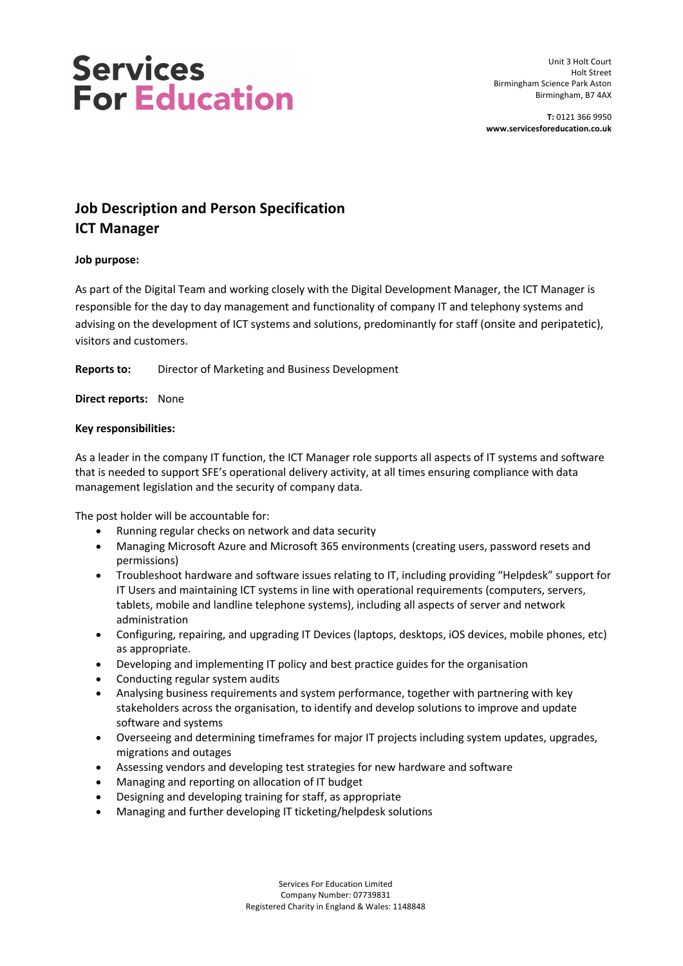# **Services For Education**

Unit 3 Holt Court Holt Street Birmingham Science Park Aston Birmingham, B7 4AX

**T:** 0121 366 9950 **www.servicesforeducation.co.uk**

### **Job Description and Person Specification ICT Manager**

#### **Job purpose:**

As part of the Digital Team and working closely with the Digital Development Manager, the ICT Manager is responsible for the day to day management and functionality of company IT and telephony systems and advising on the development of ICT systems and solutions, predominantly for staff (onsite and peripatetic), visitors and customers.

**Reports to:** Director of Marketing and Business Development

**Direct reports:** None

#### **Key responsibilities:**

As a leader in the company IT function, the ICT Manager role supports all aspects of IT systems and software that is needed to support SFE's operational delivery activity, at all times ensuring compliance with data management legislation and the security of company data.

The post holder will be accountable for:

- Running regular checks on network and data security
- Managing Microsoft Azure and Microsoft 365 environments (creating users, password resets and permissions)
- Troubleshoot hardware and software issues relating to IT, including providing "Helpdesk" support for IT Users and maintaining ICT systems in line with operational requirements (computers, servers, tablets, mobile and landline telephone systems), including all aspects of server and network administration
- Configuring, repairing, and upgrading IT Devices (laptops, desktops, iOS devices, mobile phones, etc) as appropriate.
- Developing and implementing IT policy and best practice guides for the organisation
- Conducting regular system audits
- Analysing business requirements and system performance, together with partnering with key stakeholders across the organisation, to identify and develop solutions to improve and update software and systems
- Overseeing and determining timeframes for major IT projects including system updates, upgrades, migrations and outages
- Assessing vendors and developing test strategies for new hardware and software
- Managing and reporting on allocation of IT budget
- Designing and developing training for staff, as appropriate
- Managing and further developing IT ticketing/helpdesk solutions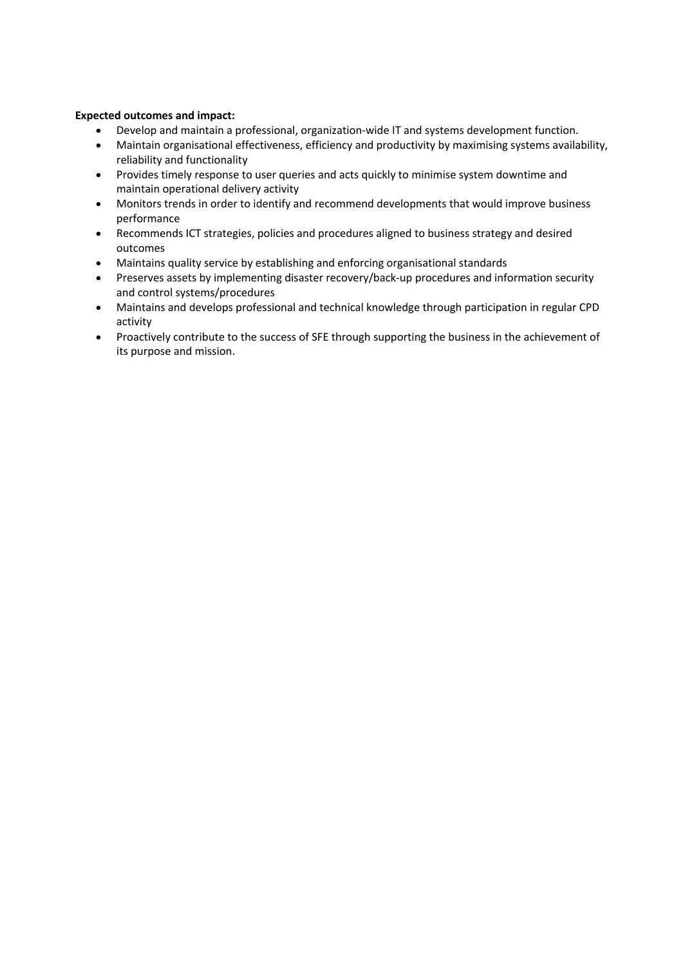#### **Expected outcomes and impact:**

- Develop and maintain a professional, organization-wide IT and systems development function.
- Maintain organisational effectiveness, efficiency and productivity by maximising systems availability, reliability and functionality
- Provides timely response to user queries and acts quickly to minimise system downtime and maintain operational delivery activity
- Monitors trends in order to identify and recommend developments that would improve business performance
- Recommends ICT strategies, policies and procedures aligned to business strategy and desired outcomes
- Maintains quality service by establishing and enforcing organisational standards
- Preserves assets by implementing disaster recovery/back-up procedures and information security and control systems/procedures
- Maintains and develops professional and technical knowledge through participation in regular CPD activity
- Proactively contribute to the success of SFE through supporting the business in the achievement of its purpose and mission.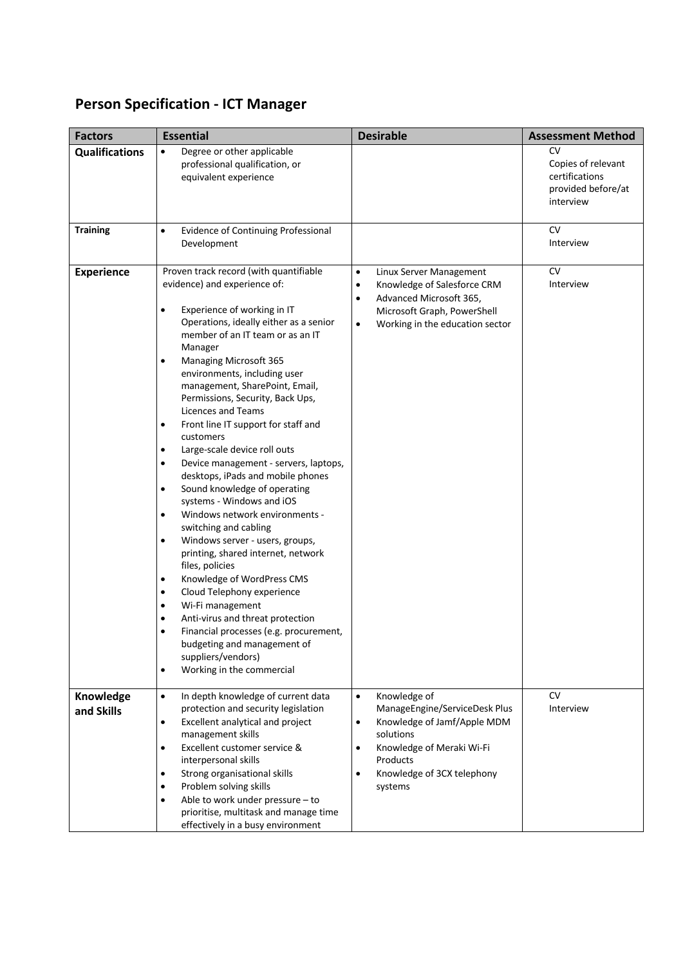## **Person Specification - ICT Manager**

| <b>Factors</b>          | <b>Essential</b>                                                                                                                                                                                                                                                                                                                                                                                                                                                                                                                                                                                                                                                                                                                                                                                                                                                                                                                                                                                                                                                                                                                                                | <b>Desirable</b>                                                                                                                                                                                                                | <b>Assessment Method</b>                                                             |
|-------------------------|-----------------------------------------------------------------------------------------------------------------------------------------------------------------------------------------------------------------------------------------------------------------------------------------------------------------------------------------------------------------------------------------------------------------------------------------------------------------------------------------------------------------------------------------------------------------------------------------------------------------------------------------------------------------------------------------------------------------------------------------------------------------------------------------------------------------------------------------------------------------------------------------------------------------------------------------------------------------------------------------------------------------------------------------------------------------------------------------------------------------------------------------------------------------|---------------------------------------------------------------------------------------------------------------------------------------------------------------------------------------------------------------------------------|--------------------------------------------------------------------------------------|
| <b>Qualifications</b>   | Degree or other applicable<br>$\bullet$<br>professional qualification, or<br>equivalent experience                                                                                                                                                                                                                                                                                                                                                                                                                                                                                                                                                                                                                                                                                                                                                                                                                                                                                                                                                                                                                                                              |                                                                                                                                                                                                                                 | <b>CV</b><br>Copies of relevant<br>certifications<br>provided before/at<br>interview |
| <b>Training</b>         | <b>Evidence of Continuing Professional</b><br>$\bullet$<br>Development                                                                                                                                                                                                                                                                                                                                                                                                                                                                                                                                                                                                                                                                                                                                                                                                                                                                                                                                                                                                                                                                                          |                                                                                                                                                                                                                                 | <b>CV</b><br>Interview                                                               |
| <b>Experience</b>       | Proven track record (with quantifiable<br>evidence) and experience of:<br>Experience of working in IT<br>$\bullet$<br>Operations, ideally either as a senior<br>member of an IT team or as an IT<br>Manager<br><b>Managing Microsoft 365</b><br>$\bullet$<br>environments, including user<br>management, SharePoint, Email,<br>Permissions, Security, Back Ups,<br>Licences and Teams<br>Front line IT support for staff and<br>$\bullet$<br>customers<br>Large-scale device roll outs<br>$\bullet$<br>Device management - servers, laptops,<br>٠<br>desktops, iPads and mobile phones<br>Sound knowledge of operating<br>$\bullet$<br>systems - Windows and iOS<br>Windows network environments -<br>$\bullet$<br>switching and cabling<br>Windows server - users, groups,<br>$\bullet$<br>printing, shared internet, network<br>files, policies<br>Knowledge of WordPress CMS<br>٠<br>Cloud Telephony experience<br>٠<br>Wi-Fi management<br>$\bullet$<br>Anti-virus and threat protection<br>$\bullet$<br>Financial processes (e.g. procurement,<br>$\bullet$<br>budgeting and management of<br>suppliers/vendors)<br>Working in the commercial<br>$\bullet$ | Linux Server Management<br>$\bullet$<br>Knowledge of Salesforce CRM<br>$\bullet$<br>Advanced Microsoft 365,<br>$\bullet$<br>Microsoft Graph, PowerShell<br>Working in the education sector<br>$\bullet$                         | <b>CV</b><br>Interview                                                               |
| Knowledge<br>and Skills | In depth knowledge of current data<br>$\bullet$<br>protection and security legislation<br>Excellent analytical and project<br>$\bullet$<br>management skills<br>Excellent customer service &<br>$\bullet$<br>interpersonal skills<br>Strong organisational skills<br>$\bullet$<br>Problem solving skills<br>٠<br>Able to work under pressure - to<br>٠<br>prioritise, multitask and manage time<br>effectively in a busy environment                                                                                                                                                                                                                                                                                                                                                                                                                                                                                                                                                                                                                                                                                                                            | Knowledge of<br>$\bullet$<br>ManageEngine/ServiceDesk Plus<br>Knowledge of Jamf/Apple MDM<br>$\bullet$<br>solutions<br>Knowledge of Meraki Wi-Fi<br>$\bullet$<br>Products<br>Knowledge of 3CX telephony<br>$\bullet$<br>systems | <b>CV</b><br>Interview                                                               |